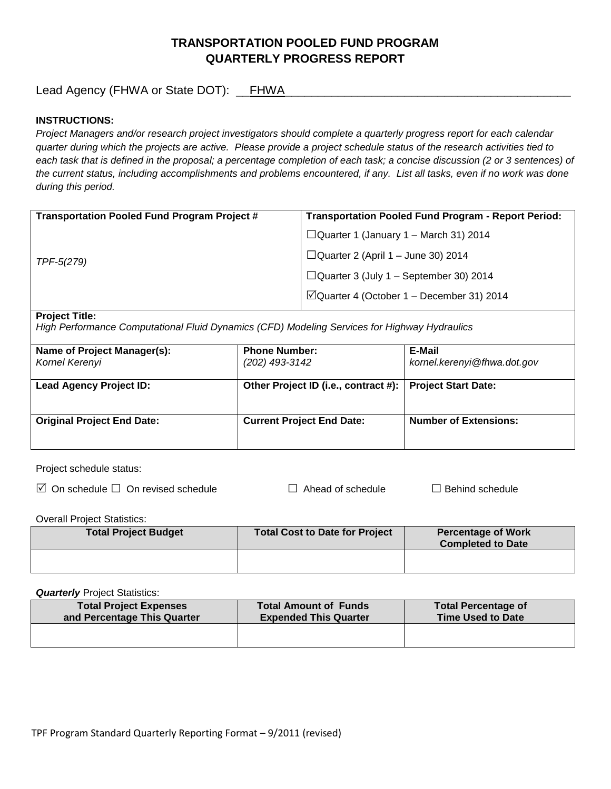# **TRANSPORTATION POOLED FUND PROGRAM QUARTERLY PROGRESS REPORT**

Lead Agency (FHWA or State DOT): \_\_FHWA\_\_\_\_\_\_\_\_\_\_\_\_\_\_\_\_\_\_\_\_\_\_\_\_\_\_\_\_\_\_\_\_\_\_\_\_\_\_\_\_\_\_\_

### **INSTRUCTIONS:**

*Project Managers and/or research project investigators should complete a quarterly progress report for each calendar quarter during which the projects are active. Please provide a project schedule status of the research activities tied to*  each task that is defined in the proposal; a percentage completion of each task; a concise discussion (2 or 3 sentences) of *the current status, including accomplishments and problems encountered, if any. List all tasks, even if no work was done during this period.*

| <b>Transportation Pooled Fund Program Project #</b> | <b>Transportation Pooled Fund Program - Report Period:</b> |  |
|-----------------------------------------------------|------------------------------------------------------------|--|
| TPF-5(279)                                          | $\Box$ Quarter 1 (January 1 – March 31) 2014               |  |
|                                                     | $\Box$ Quarter 2 (April 1 – June 30) 2014                  |  |
|                                                     | $\Box$ Quarter 3 (July 1 – September 30) 2014              |  |
|                                                     | $\Box$ Quarter 4 (October 1 – December 31) 2014            |  |

#### **Project Title:**

*High Performance Computational Fluid Dynamics (CFD) Modeling Services for Highway Hydraulics*

| Name of Project Manager(s):<br>Kornel Kerenyi | <b>Phone Number:</b><br>(202) 493-3142                     | E-Mail<br>kornel.kerenyi@fhwa.dot.gov |
|-----------------------------------------------|------------------------------------------------------------|---------------------------------------|
| <b>Lead Agency Project ID:</b>                | Other Project ID (i.e., contract #):   Project Start Date: |                                       |
| <b>Original Project End Date:</b>             | <b>Current Project End Date:</b>                           | <b>Number of Extensions:</b>          |

Project schedule status:

On schedule □ On revised schedule □ Ahead of schedule □ Behind schedule

Overall Project Statistics:

| <b>Total Project Budget</b> | Total Cost to Date for Project | <b>Percentage of Work</b><br><b>Completed to Date</b> |
|-----------------------------|--------------------------------|-------------------------------------------------------|
|                             |                                |                                                       |

**Quarterly** Project Statistics:

| <b>Total Project Expenses</b><br>and Percentage This Quarter | <b>Total Amount of Funds</b><br><b>Expended This Quarter</b> | <b>Total Percentage of</b><br><b>Time Used to Date</b> |
|--------------------------------------------------------------|--------------------------------------------------------------|--------------------------------------------------------|
|                                                              |                                                              |                                                        |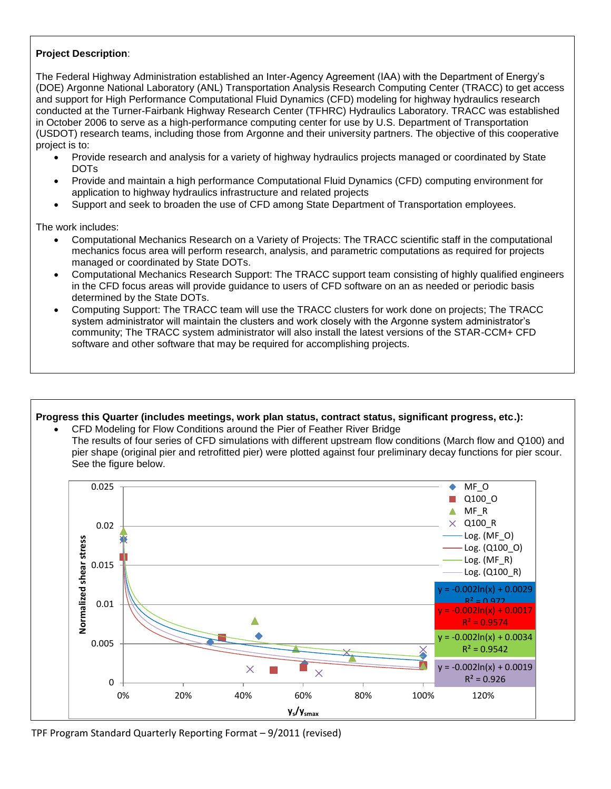## **Project Description**:

The Federal Highway Administration established an Inter-Agency Agreement (IAA) with the Department of Energy's (DOE) Argonne National Laboratory (ANL) Transportation Analysis Research Computing Center (TRACC) to get access and support for High Performance Computational Fluid Dynamics (CFD) modeling for highway hydraulics research conducted at the Turner-Fairbank Highway Research Center (TFHRC) Hydraulics Laboratory. TRACC was established in October 2006 to serve as a high-performance computing center for use by U.S. Department of Transportation (USDOT) research teams, including those from Argonne and their university partners. The objective of this cooperative project is to:

- Provide research and analysis for a variety of highway hydraulics projects managed or coordinated by State DOTs
- Provide and maintain a high performance Computational Fluid Dynamics (CFD) computing environment for application to highway hydraulics infrastructure and related projects
- Support and seek to broaden the use of CFD among State Department of Transportation employees.

The work includes:

- Computational Mechanics Research on a Variety of Projects: The TRACC scientific staff in the computational mechanics focus area will perform research, analysis, and parametric computations as required for projects managed or coordinated by State DOTs.
- Computational Mechanics Research Support: The TRACC support team consisting of highly qualified engineers in the CFD focus areas will provide guidance to users of CFD software on an as needed or periodic basis determined by the State DOTs.
- Computing Support: The TRACC team will use the TRACC clusters for work done on projects; The TRACC system administrator will maintain the clusters and work closely with the Argonne system administrator's community; The TRACC system administrator will also install the latest versions of the STAR-CCM+ CFD software and other software that may be required for accomplishing projects.

# **Progress this Quarter (includes meetings, work plan status, contract status, significant progress, etc.):**

 CFD Modeling for Flow Conditions around the Pier of Feather River Bridge The results of four series of CFD simulations with different upstream flow conditions (March flow and Q100) and pier shape (original pier and retrofitted pier) were plotted against four preliminary decay functions for pier scour. See the figure below.



TPF Program Standard Quarterly Reporting Format – 9/2011 (revised)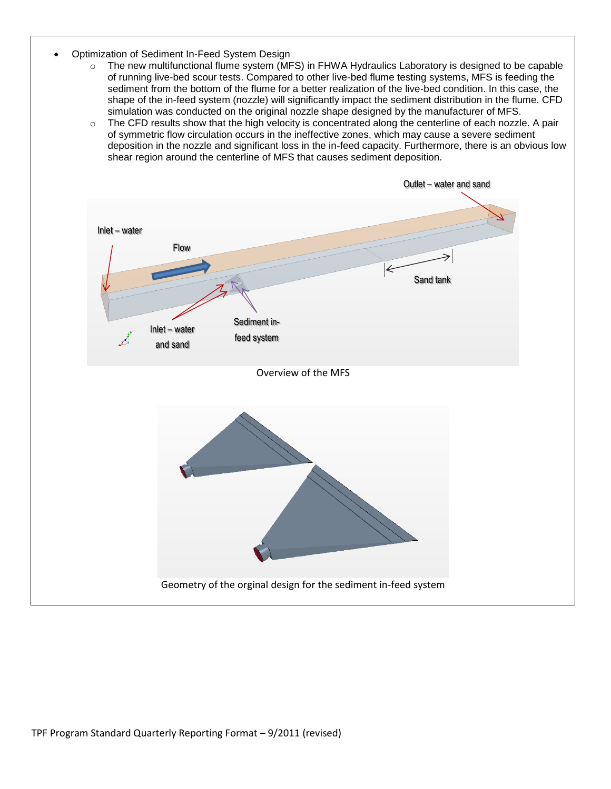- Optimization of Sediment In-Feed System Design
	- o The new multifunctional flume system (MFS) in FHWA Hydraulics Laboratory is designed to be capable of running live-bed scour tests. Compared to other live-bed flume testing systems, MFS is feeding the sediment from the bottom of the flume for a better realization of the live-bed condition. In this case, the shape of the in-feed system (nozzle) will significantly impact the sediment distribution in the flume. CFD simulation was conducted on the original nozzle shape designed by the manufacturer of MFS.
	- $\circ$  The CFD results show that the high velocity is concentrated along the centerline of each nozzle. A pair of symmetric flow circulation occurs in the ineffective zones, which may cause a severe sediment deposition in the nozzle and significant loss in the in-feed capacity. Furthermore, there is an obvious low shear region around the centerline of MFS that causes sediment deposition.

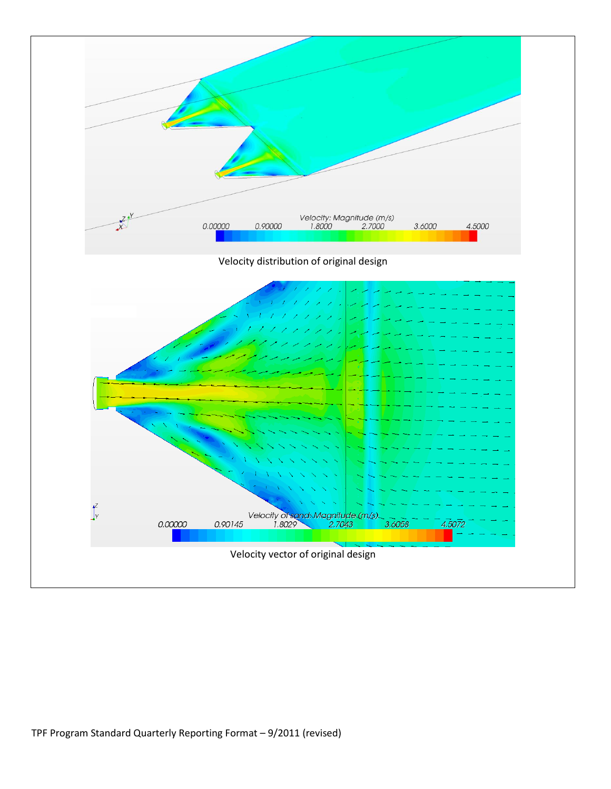